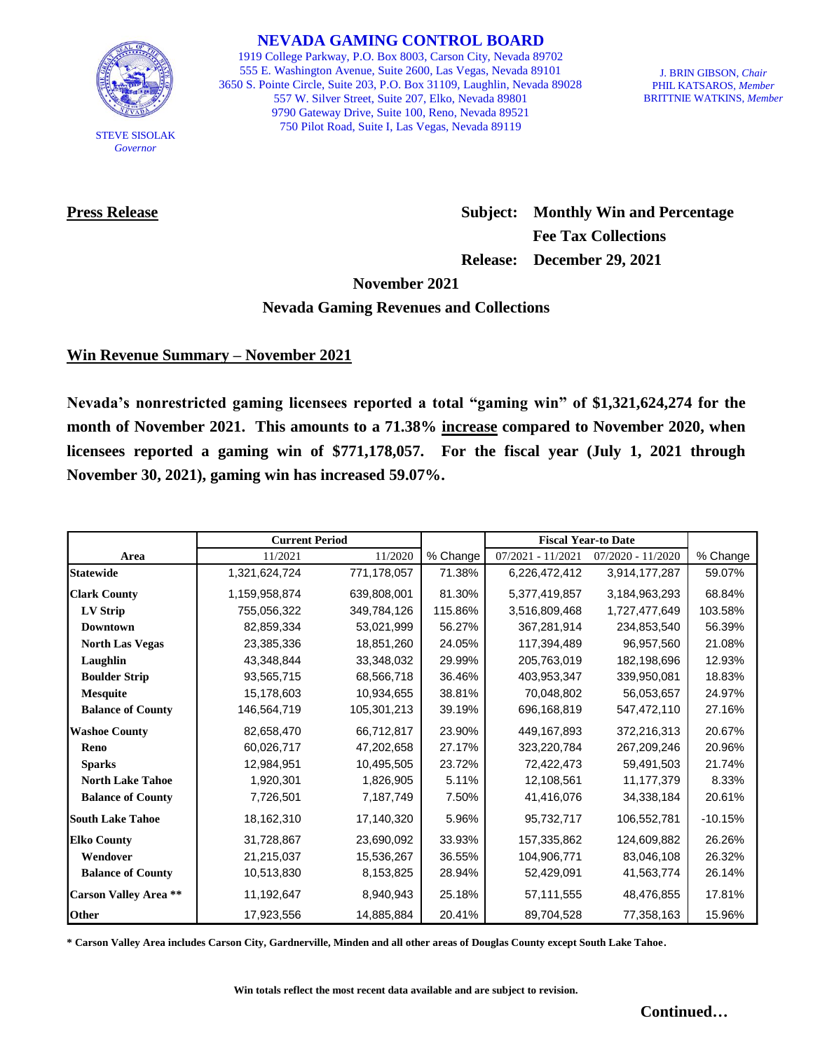

STEVE SISOLAK *Governor*

**NEVADA GAMING CONTROL BOARD**

1919 College Parkway, P.O. Box 8003, Carson City, Nevada 89702 555 E. Washington Avenue, Suite 2600, Las Vegas, Nevada 89101 3650 S. Pointe Circle, Suite 203, P.O. Box 31109, Laughlin, Nevada 89028 557 W. Silver Street, Suite 207, Elko, Nevada 89801 9790 Gateway Drive, Suite 100, Reno, Nevada 89521 750 Pilot Road, Suite I, Las Vegas, Nevada 89119

J. BRIN GIBSON, *Chair* PHIL KATSAROS, *Member* BRITTNIE WATKINS, *Member*

**Press Release Subject: Monthly Win and Percentage Fee Tax Collections Release: December 29, 2021**

**November 2021**

## **Nevada Gaming Revenues and Collections**

# **Win Revenue Summary – November 2021**

**Nevada's nonrestricted gaming licensees reported a total "gaming win" of \$1,321,624,274 for the month of November 2021. This amounts to a 71.38% increase compared to November 2020, when licensees reported a gaming win of \$771,178,057. For the fiscal year (July 1, 2021 through November 30, 2021), gaming win has increased 59.07%.** 

|                              | <b>Current Period</b> |             |          | <b>Fiscal Year-to Date</b> |                     |           |
|------------------------------|-----------------------|-------------|----------|----------------------------|---------------------|-----------|
| Area                         | 11/2021               | 11/2020     | % Change | $07/2021 - 11/2021$        | $07/2020 - 11/2020$ | % Change  |
| <b>Statewide</b>             | 1,321,624,724         | 771,178,057 | 71.38%   | 6,226,472,412              | 3,914,177,287       | 59.07%    |
| <b>Clark County</b>          | 1,159,958,874         | 639,808,001 | 81.30%   | 5,377,419,857              | 3,184,963,293       | 68.84%    |
| LV Strip                     | 755,056,322           | 349,784,126 | 115.86%  | 3,516,809,468              | 1,727,477,649       | 103.58%   |
| <b>Downtown</b>              | 82,859,334            | 53,021,999  | 56.27%   | 367.281.914                | 234,853,540         | 56.39%    |
| <b>North Las Vegas</b>       | 23,385,336            | 18,851,260  | 24.05%   | 117,394,489                | 96,957,560          | 21.08%    |
| Laughlin                     | 43,348,844            | 33,348,032  | 29.99%   | 205,763,019                | 182,198,696         | 12.93%    |
| <b>Boulder Strip</b>         | 93,565,715            | 68,566,718  | 36.46%   | 403,953,347                | 339,950,081         | 18.83%    |
| <b>Mesquite</b>              | 15,178,603            | 10,934,655  | 38.81%   | 70,048,802                 | 56,053,657          | 24.97%    |
| <b>Balance of County</b>     | 146,564,719           | 105,301,213 | 39.19%   | 696,168,819                | 547,472,110         | 27.16%    |
| <b>Washoe County</b>         | 82,658,470            | 66,712,817  | 23.90%   | 449,167,893                | 372,216,313         | 20.67%    |
| Reno                         | 60,026,717            | 47,202,658  | 27.17%   | 323,220,784                | 267,209,246         | 20.96%    |
| <b>Sparks</b>                | 12,984,951            | 10,495,505  | 23.72%   | 72,422,473                 | 59,491,503          | 21.74%    |
| <b>North Lake Tahoe</b>      | 1,920,301             | 1,826,905   | 5.11%    | 12,108,561                 | 11,177,379          | 8.33%     |
| <b>Balance of County</b>     | 7,726,501             | 7,187,749   | 7.50%    | 41,416,076                 | 34,338,184          | 20.61%    |
| <b>South Lake Tahoe</b>      | 18,162,310            | 17,140,320  | 5.96%    | 95,732,717                 | 106,552,781         | $-10.15%$ |
| <b>Elko County</b>           | 31,728,867            | 23,690,092  | 33.93%   | 157,335,862                | 124,609,882         | 26.26%    |
| Wendover                     | 21,215,037            | 15,536,267  | 36.55%   | 104,906,771                | 83,046,108          | 26.32%    |
| <b>Balance of County</b>     | 10,513,830            | 8,153,825   | 28.94%   | 52,429,091                 | 41,563,774          | 26.14%    |
| <b>Carson Valley Area **</b> | 11,192,647            | 8,940,943   | 25.18%   | 57,111,555                 | 48,476,855          | 17.81%    |
| Other                        | 17,923,556            | 14,885,884  | 20.41%   | 89,704,528                 | 77,358,163          | 15.96%    |

**\* Carson Valley Area includes Carson City, Gardnerville, Minden and all other areas of Douglas County except South Lake Tahoe.**

**Win totals reflect the most recent data available and are subject to revision.**

**Continued…**